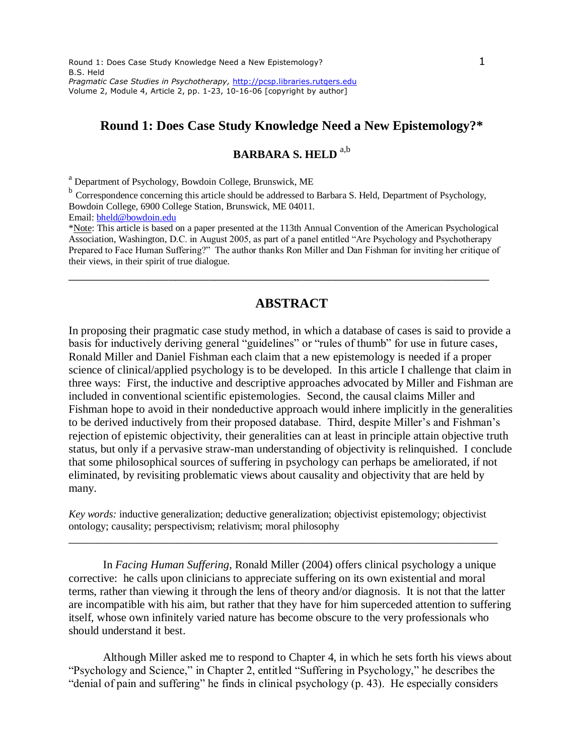# **Round 1: Does Case Study Knowledge Need a New Epistemology?\***

# **BARBARA S. HELD** a,b

<sup>a</sup> Department of Psychology, Bowdoin College, Brunswick, ME

<sup>b</sup> Correspondence concerning this article should be addressed to Barbara S. Held, Department of Psychology, Bowdoin College, 6900 College Station, Brunswick, ME 04011.

Email: [bheld@bowdoin.edu](mailto:bheld@bowdoin.edu)

\*Note: This article is based on a paper presented at the 113th Annual Convention of the American Psychological Association, Washington, D.C. in August 2005, as part of a panel entitled "Are Psychology and Psychotherapy Prepared to Face Human Suffering?" The author thanks Ron Miller and Dan Fishman for inviting her critique of their views, in their spirit of true dialogue.

\_\_\_\_\_\_\_\_\_\_\_\_\_\_\_\_\_\_\_\_\_\_\_\_\_\_\_\_\_\_\_\_\_\_\_\_\_\_\_\_\_\_\_\_\_\_\_\_\_\_\_\_\_\_\_\_\_\_\_\_\_\_\_

# **ABSTRACT**

In proposing their pragmatic case study method, in which a database of cases is said to provide a basis for inductively deriving general "guidelines" or "rules of thumb" for use in future cases, Ronald Miller and Daniel Fishman each claim that a new epistemology is needed if a proper science of clinical/applied psychology is to be developed. In this article I challenge that claim in three ways: First, the inductive and descriptive approaches advocated by Miller and Fishman are included in conventional scientific epistemologies. Second, the causal claims Miller and Fishman hope to avoid in their nondeductive approach would inhere implicitly in the generalities to be derived inductively from their proposed database. Third, despite Miller's and Fishman's rejection of epistemic objectivity, their generalities can at least in principle attain objective truth status, but only if a pervasive straw-man understanding of objectivity is relinquished. I conclude that some philosophical sources of suffering in psychology can perhaps be ameliorated, if not eliminated, by revisiting problematic views about causality and objectivity that are held by many.

*Key words:* inductive generalization; deductive generalization; objectivist epistemology; objectivist ontology; causality; perspectivism; relativism; moral philosophy

\_\_\_\_\_\_\_\_\_\_\_\_\_\_\_\_\_\_\_\_\_\_\_\_\_\_\_\_\_\_\_\_\_\_\_\_\_\_\_\_\_\_\_\_\_\_\_\_\_\_\_\_\_\_\_\_\_\_\_\_\_\_\_\_\_\_\_\_\_\_\_\_\_\_\_

In *Facing Human Suffering*, Ronald Miller (2004) offers clinical psychology a unique corrective: he calls upon clinicians to appreciate suffering on its own existential and moral terms, rather than viewing it through the lens of theory and/or diagnosis. It is not that the latter are incompatible with his aim, but rather that they have for him superceded attention to suffering itself, whose own infinitely varied nature has become obscure to the very professionals who should understand it best.

Although Miller asked me to respond to Chapter 4, in which he sets forth his views about "Psychology and Science," in Chapter 2, entitled "Suffering in Psychology," he describes the "denial of pain and suffering" he finds in clinical psychology (p. 43). He especially considers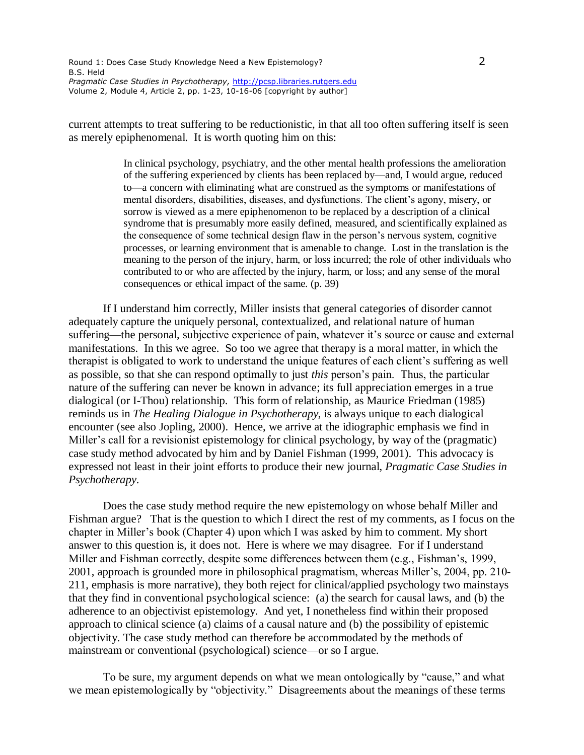current attempts to treat suffering to be reductionistic, in that all too often suffering itself is seen as merely epiphenomenal. It is worth quoting him on this:

> In clinical psychology, psychiatry, and the other mental health professions the amelioration of the suffering experienced by clients has been replaced by—and, I would argue, reduced to—a concern with eliminating what are construed as the symptoms or manifestations of mental disorders, disabilities, diseases, and dysfunctions. The client's agony, misery, or sorrow is viewed as a mere epiphenomenon to be replaced by a description of a clinical syndrome that is presumably more easily defined, measured, and scientifically explained as the consequence of some technical design flaw in the person's nervous system, cognitive processes, or learning environment that is amenable to change. Lost in the translation is the meaning to the person of the injury, harm, or loss incurred; the role of other individuals who contributed to or who are affected by the injury, harm, or loss; and any sense of the moral consequences or ethical impact of the same. (p. 39)

If I understand him correctly, Miller insists that general categories of disorder cannot adequately capture the uniquely personal, contextualized, and relational nature of human suffering—the personal, subjective experience of pain, whatever it's source or cause and external manifestations. In this we agree. So too we agree that therapy is a moral matter, in which the therapist is obligated to work to understand the unique features of each client's suffering as well as possible, so that she can respond optimally to just *this* person's pain. Thus, the particular nature of the suffering can never be known in advance; its full appreciation emerges in a true dialogical (or I-Thou) relationship. This form of relationship, as Maurice Friedman (1985) reminds us in *The Healing Dialogue in Psychotherapy*, is always unique to each dialogical encounter (see also Jopling, 2000). Hence, we arrive at the idiographic emphasis we find in Miller's call for a revisionist epistemology for clinical psychology, by way of the (pragmatic) case study method advocated by him and by Daniel Fishman (1999, 2001). This advocacy is expressed not least in their joint efforts to produce their new journal, *Pragmatic Case Studies in Psychotherapy*.

Does the case study method require the new epistemology on whose behalf Miller and Fishman argue? That is the question to which I direct the rest of my comments, as I focus on the chapter in Miller's book (Chapter 4) upon which I was asked by him to comment. My short answer to this question is, it does not. Here is where we may disagree. For if I understand Miller and Fishman correctly, despite some differences between them (e.g., Fishman's, 1999, 2001, approach is grounded more in philosophical pragmatism, whereas Miller's, 2004, pp. 210- 211, emphasis is more narrative), they both reject for clinical/applied psychology two mainstays that they find in conventional psychological science: (a) the search for causal laws, and (b) the adherence to an objectivist epistemology. And yet, I nonetheless find within their proposed approach to clinical science (a) claims of a causal nature and (b) the possibility of epistemic objectivity. The case study method can therefore be accommodated by the methods of mainstream or conventional (psychological) science—or so I argue.

To be sure, my argument depends on what we mean ontologically by "cause," and what we mean epistemologically by "objectivity." Disagreements about the meanings of these terms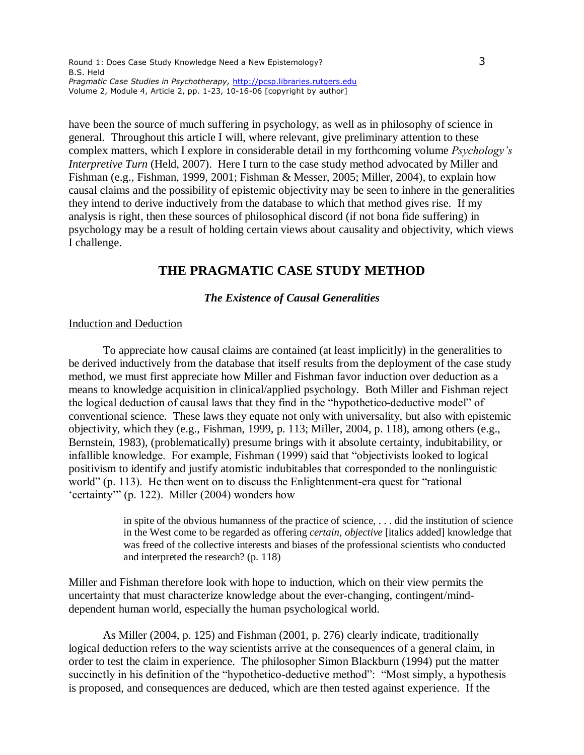have been the source of much suffering in psychology, as well as in philosophy of science in general. Throughout this article I will, where relevant, give preliminary attention to these complex matters, which I explore in considerable detail in my forthcoming volume *Psychology's Interpretive Turn* (Held, 2007). Here I turn to the case study method advocated by Miller and Fishman (e.g., Fishman, 1999, 2001; Fishman & Messer, 2005; Miller, 2004), to explain how causal claims and the possibility of epistemic objectivity may be seen to inhere in the generalities they intend to derive inductively from the database to which that method gives rise. If my analysis is right, then these sources of philosophical discord (if not bona fide suffering) in psychology may be a result of holding certain views about causality and objectivity, which views I challenge.

# **THE PRAGMATIC CASE STUDY METHOD**

## *The Existence of Causal Generalities*

## Induction and Deduction

To appreciate how causal claims are contained (at least implicitly) in the generalities to be derived inductively from the database that itself results from the deployment of the case study method, we must first appreciate how Miller and Fishman favor induction over deduction as a means to knowledge acquisition in clinical/applied psychology. Both Miller and Fishman reject the logical deduction of causal laws that they find in the "hypothetico-deductive model" of conventional science. These laws they equate not only with universality, but also with epistemic objectivity, which they (e.g., Fishman, 1999, p. 113; Miller, 2004, p. 118), among others (e.g., Bernstein, 1983), (problematically) presume brings with it absolute certainty, indubitability, or infallible knowledge. For example, Fishman (1999) said that "objectivists looked to logical positivism to identify and justify atomistic indubitables that corresponded to the nonlinguistic world" (p. 113). He then went on to discuss the Enlightenment-era quest for "rational 'certainty'" (p. 122). Miller (2004) wonders how

> in spite of the obvious humanness of the practice of science, . . . did the institution of science in the West come to be regarded as offering *certain, objective* [italics added] knowledge that was freed of the collective interests and biases of the professional scientists who conducted and interpreted the research? (p. 118)

Miller and Fishman therefore look with hope to induction, which on their view permits the uncertainty that must characterize knowledge about the ever-changing, contingent/minddependent human world, especially the human psychological world.

As Miller (2004, p. 125) and Fishman (2001, p. 276) clearly indicate, traditionally logical deduction refers to the way scientists arrive at the consequences of a general claim, in order to test the claim in experience. The philosopher Simon Blackburn (1994) put the matter succinctly in his definition of the "hypothetico-deductive method": "Most simply, a hypothesis is proposed, and consequences are deduced, which are then tested against experience. If the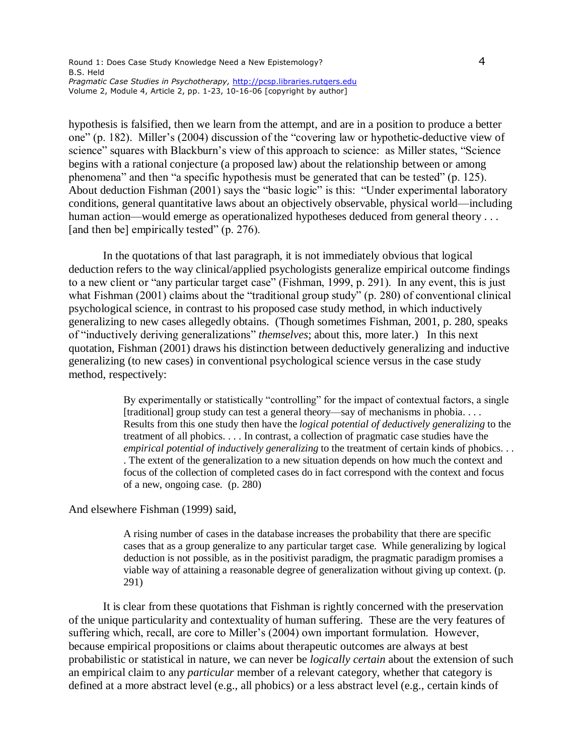hypothesis is falsified, then we learn from the attempt, and are in a position to produce a better one" (p. 182). Miller's (2004) discussion of the "covering law or hypothetic-deductive view of science" squares with Blackburn's view of this approach to science: as Miller states, "Science begins with a rational conjecture (a proposed law) about the relationship between or among phenomena" and then "a specific hypothesis must be generated that can be tested" (p. 125). About deduction Fishman (2001) says the "basic logic" is this: "Under experimental laboratory conditions, general quantitative laws about an objectively observable, physical world—including human action—would emerge as operationalized hypotheses deduced from general theory . . . [and then be] empirically tested" (p. 276).

In the quotations of that last paragraph, it is not immediately obvious that logical deduction refers to the way clinical/applied psychologists generalize empirical outcome findings to a new client or "any particular target case" (Fishman, 1999, p. 291). In any event, this is just what Fishman (2001) claims about the "traditional group study" (p. 280) of conventional clinical psychological science, in contrast to his proposed case study method, in which inductively generalizing to new cases allegedly obtains. (Though sometimes Fishman, 2001, p. 280, speaks of "inductively deriving generalizations" *themselves*; about this, more later.) In this next quotation, Fishman (2001) draws his distinction between deductively generalizing and inductive generalizing (to new cases) in conventional psychological science versus in the case study method, respectively:

> By experimentally or statistically "controlling" for the impact of contextual factors, a single [traditional] group study can test a general theory—say of mechanisms in phobia. . . . Results from this one study then have the *logical potential of deductively generalizing* to the treatment of all phobics. . . . In contrast, a collection of pragmatic case studies have the *empirical potential of inductively generalizing* to the treatment of certain kinds of phobics. . . . The extent of the generalization to a new situation depends on how much the context and focus of the collection of completed cases do in fact correspond with the context and focus of a new, ongoing case. (p. 280)

And elsewhere Fishman (1999) said,

A rising number of cases in the database increases the probability that there are specific cases that as a group generalize to any particular target case. While generalizing by logical deduction is not possible, as in the positivist paradigm, the pragmatic paradigm promises a viable way of attaining a reasonable degree of generalization without giving up context. (p. 291)

It is clear from these quotations that Fishman is rightly concerned with the preservation of the unique particularity and contextuality of human suffering. These are the very features of suffering which, recall, are core to Miller's (2004) own important formulation. However, because empirical propositions or claims about therapeutic outcomes are always at best probabilistic or statistical in nature, we can never be *logically certain* about the extension of such an empirical claim to any *particular* member of a relevant category, whether that category is defined at a more abstract level (e.g., all phobics) or a less abstract level (e.g., certain kinds of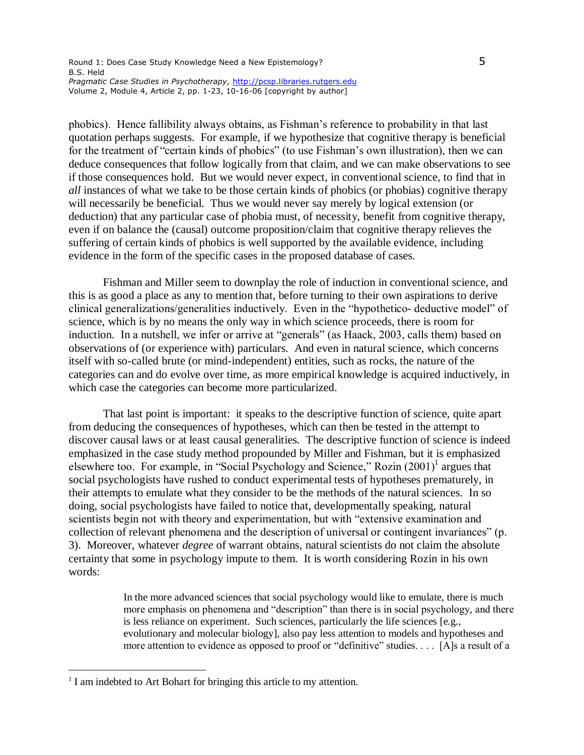phobics). Hence fallibility always obtains, as Fishman's reference to probability in that last quotation perhaps suggests. For example, if we hypothesize that cognitive therapy is beneficial for the treatment of "certain kinds of phobics" (to use Fishman's own illustration), then we can deduce consequences that follow logically from that claim, and we can make observations to see if those consequences hold. But we would never expect, in conventional science, to find that in *all* instances of what we take to be those certain kinds of phobics (or phobias) cognitive therapy will necessarily be beneficial. Thus we would never say merely by logical extension (or deduction) that any particular case of phobia must, of necessity, benefit from cognitive therapy, even if on balance the (causal) outcome proposition/claim that cognitive therapy relieves the suffering of certain kinds of phobics is well supported by the available evidence, including evidence in the form of the specific cases in the proposed database of cases.

Fishman and Miller seem to downplay the role of induction in conventional science, and this is as good a place as any to mention that, before turning to their own aspirations to derive clinical generalizations/generalities inductively. Even in the "hypothetico- deductive model" of science, which is by no means the only way in which science proceeds, there is room for induction. In a nutshell, we infer or arrive at "generals" (as Haack, 2003, calls them) based on observations of (or experience with) particulars. And even in natural science, which concerns itself with so-called brute (or mind-independent) entities, such as rocks, the nature of the categories can and do evolve over time, as more empirical knowledge is acquired inductively, in which case the categories can become more particularized.

That last point is important: it speaks to the descriptive function of science, quite apart from deducing the consequences of hypotheses, which can then be tested in the attempt to discover causal laws or at least causal generalities. The descriptive function of science is indeed emphasized in the case study method propounded by Miller and Fishman, but it is emphasized elsewhere too. For example, in "Social Psychology and Science," Rozin (2001)<sup>1</sup> argues that social psychologists have rushed to conduct experimental tests of hypotheses prematurely, in their attempts to emulate what they consider to be the methods of the natural sciences. In so doing, social psychologists have failed to notice that, developmentally speaking, natural scientists begin not with theory and experimentation, but with "extensive examination and collection of relevant phenomena and the description of universal or contingent invariances" (p. 3). Moreover, whatever *degree* of warrant obtains, natural scientists do not claim the absolute certainty that some in psychology impute to them. It is worth considering Rozin in his own words:

> In the more advanced sciences that social psychology would like to emulate, there is much more emphasis on phenomena and "description" than there is in social psychology, and there is less reliance on experiment. Such sciences, particularly the life sciences [e.g., evolutionary and molecular biology], also pay less attention to models and hypotheses and more attention to evidence as opposed to proof or "definitive" studies. . . . [A]s a result of a

<sup>&</sup>lt;sup>1</sup> I am indebted to Art Bohart for bringing this article to my attention.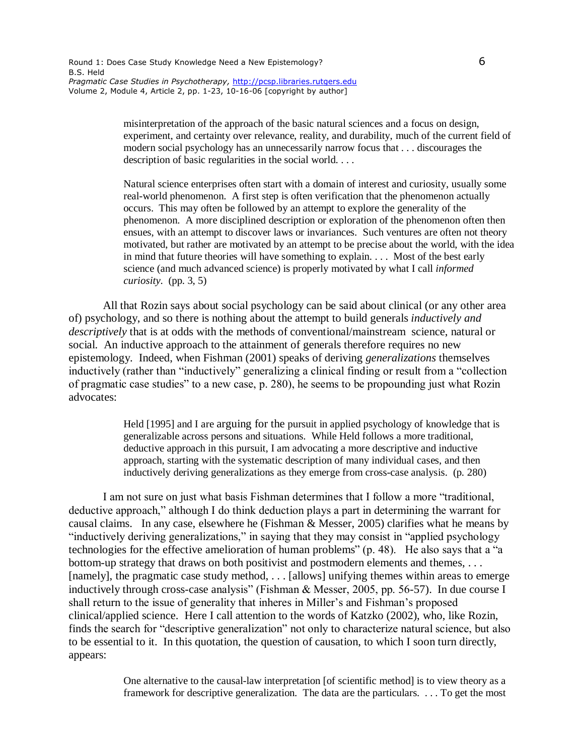misinterpretation of the approach of the basic natural sciences and a focus on design, experiment, and certainty over relevance, reality, and durability, much of the current field of modern social psychology has an unnecessarily narrow focus that . . . discourages the description of basic regularities in the social world. . . .

Natural science enterprises often start with a domain of interest and curiosity, usually some real-world phenomenon. A first step is often verification that the phenomenon actually occurs. This may often be followed by an attempt to explore the generality of the phenomenon. A more disciplined description or exploration of the phenomenon often then ensues, with an attempt to discover laws or invariances. Such ventures are often not theory motivated, but rather are motivated by an attempt to be precise about the world, with the idea in mind that future theories will have something to explain. . . . Most of the best early science (and much advanced science) is properly motivated by what I call *informed curiosity*. (pp. 3, 5)

All that Rozin says about social psychology can be said about clinical (or any other area of) psychology, and so there is nothing about the attempt to build generals *inductively and descriptively* that is at odds with the methods of conventional/mainstream science, natural or social. An inductive approach to the attainment of generals therefore requires no new epistemology. Indeed, when Fishman (2001) speaks of deriving *generalizations* themselves inductively (rather than "inductively" generalizing a clinical finding or result from a "collection of pragmatic case studies" to a new case, p. 280), he seems to be propounding just what Rozin advocates:

> Held [1995] and I are arguing for the pursuit in applied psychology of knowledge that is generalizable across persons and situations. While Held follows a more traditional, deductive approach in this pursuit, I am advocating a more descriptive and inductive approach, starting with the systematic description of many individual cases, and then inductively deriving generalizations as they emerge from cross-case analysis. (p. 280)

I am not sure on just what basis Fishman determines that I follow a more "traditional, deductive approach," although I do think deduction plays a part in determining the warrant for causal claims. In any case, elsewhere he (Fishman & Messer, 2005) clarifies what he means by "inductively deriving generalizations," in saying that they may consist in "applied psychology technologies for the effective amelioration of human problems" (p. 48). He also says that a "a bottom-up strategy that draws on both positivist and postmodern elements and themes, . . . [namely], the pragmatic case study method, . . . [allows] unifying themes within areas to emerge inductively through cross-case analysis" (Fishman & Messer, 2005, pp. 56-57). In due course I shall return to the issue of generality that inheres in Miller's and Fishman's proposed clinical/applied science. Here I call attention to the words of Katzko (2002), who, like Rozin, finds the search for "descriptive generalization" not only to characterize natural science, but also to be essential to it. In this quotation, the question of causation, to which I soon turn directly, appears:

> One alternative to the causal-law interpretation [of scientific method] is to view theory as a framework for descriptive generalization. The data are the particulars. . . . To get the most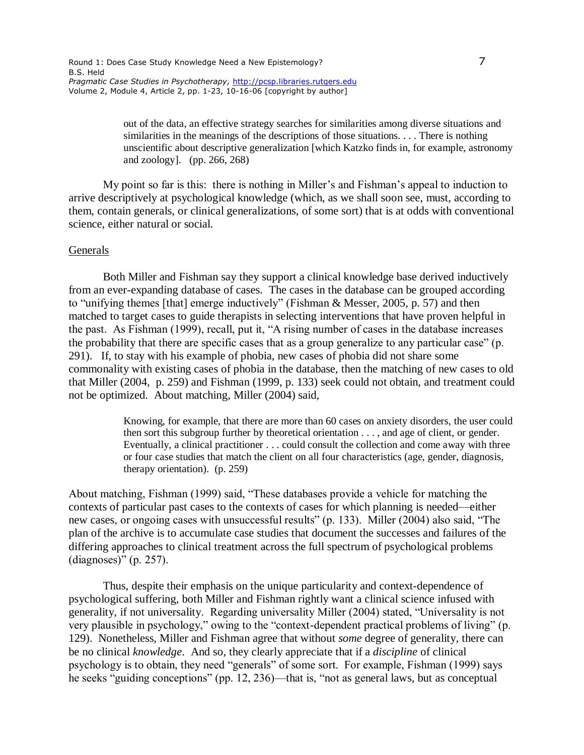out of the data, an effective strategy searches for similarities among diverse situations and similarities in the meanings of the descriptions of those situations. . . . There is nothing unscientific about descriptive generalization [which Katzko finds in, for example, astronomy and zoology]. (pp. 266, 268)

My point so far is this: there is nothing in Miller's and Fishman's appeal to induction to arrive descriptively at psychological knowledge (which, as we shall soon see, must, according to them, contain generals, or clinical generalizations, of some sort) that is at odds with conventional science, either natural or social.

#### Generals

Both Miller and Fishman say they support a clinical knowledge base derived inductively from an ever-expanding database of cases. The cases in the database can be grouped according to "unifying themes [that] emerge inductively" (Fishman & Messer, 2005, p. 57) and then matched to target cases to guide therapists in selecting interventions that have proven helpful in the past. As Fishman (1999), recall, put it, "A rising number of cases in the database increases the probability that there are specific cases that as a group generalize to any particular case" (p. 291). If, to stay with his example of phobia, new cases of phobia did not share some commonality with existing cases of phobia in the database, then the matching of new cases to old that Miller (2004, p. 259) and Fishman (1999, p. 133) seek could not obtain, and treatment could not be optimized. About matching, Miller (2004) said,

> Knowing, for example, that there are more than 60 cases on anxiety disorders, the user could then sort this subgroup further by theoretical orientation . . . , and age of client, or gender. Eventually, a clinical practitioner . . . could consult the collection and come away with three or four case studies that match the client on all four characteristics (age, gender, diagnosis, therapy orientation). (p. 259)

About matching, Fishman (1999) said, "These databases provide a vehicle for matching the contexts of particular past cases to the contexts of cases for which planning is needed—either new cases, or ongoing cases with unsuccessful results" (p. 133). Miller (2004) also said, "The plan of the archive is to accumulate case studies that document the successes and failures of the differing approaches to clinical treatment across the full spectrum of psychological problems (diagnoses)" (p. 257).

Thus, despite their emphasis on the unique particularity and context-dependence of psychological suffering, both Miller and Fishman rightly want a clinical science infused with generality, if not universality. Regarding universality Miller (2004) stated, "Universality is not very plausible in psychology," owing to the "context-dependent practical problems of living" (p. 129). Nonetheless, Miller and Fishman agree that without *some* degree of generality, there can be no clinical *knowledge*. And so, they clearly appreciate that if a *discipline* of clinical psychology is to obtain, they need "generals" of some sort. For example, Fishman (1999) says he seeks "guiding conceptions" (pp. 12, 236)—that is, "not as general laws, but as conceptual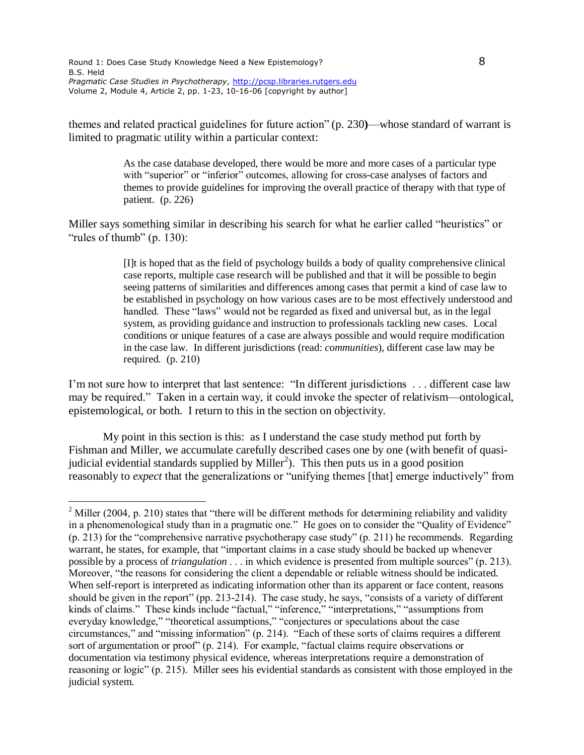$\overline{a}$ 

themes and related practical guidelines for future action" (p. 230**)**—whose standard of warrant is limited to pragmatic utility within a particular context:

> As the case database developed, there would be more and more cases of a particular type with "superior" or "inferior" outcomes, allowing for cross-case analyses of factors and themes to provide guidelines for improving the overall practice of therapy with that type of patient. (p. 226)

Miller says something similar in describing his search for what he earlier called "heuristics" or "rules of thumb" (p. 130):

> [I]t is hoped that as the field of psychology builds a body of quality comprehensive clinical case reports, multiple case research will be published and that it will be possible to begin seeing patterns of similarities and differences among cases that permit a kind of case law to be established in psychology on how various cases are to be most effectively understood and handled. These "laws" would not be regarded as fixed and universal but, as in the legal system, as providing guidance and instruction to professionals tackling new cases. Local conditions or unique features of a case are always possible and would require modification in the case law. In different jurisdictions (read: *communities*), different case law may be required. (p. 210)

I'm not sure how to interpret that last sentence: "In different jurisdictions . . . different case law may be required." Taken in a certain way, it could invoke the specter of relativism—ontological, epistemological, or both. I return to this in the section on objectivity.

My point in this section is this: as I understand the case study method put forth by Fishman and Miller, we accumulate carefully described cases one by one (with benefit of quasijudicial evidential standards supplied by Miller<sup>2</sup>). This then puts us in a good position reasonably to *expect* that the generalizations or "unifying themes [that] emerge inductively" from

<sup>&</sup>lt;sup>2</sup> Miller (2004, p. 210) states that "there will be different methods for determining reliability and validity in a phenomenological study than in a pragmatic one." He goes on to consider the "Quality of Evidence" (p. 213) for the "comprehensive narrative psychotherapy case study" (p. 211) he recommends. Regarding warrant, he states, for example, that "important claims in a case study should be backed up whenever possible by a process of *triangulation* . . . in which evidence is presented from multiple sources" (p. 213). Moreover, "the reasons for considering the client a dependable or reliable witness should be indicated. When self-report is interpreted as indicating information other than its apparent or face content, reasons should be given in the report" (pp. 213-214). The case study, he says, "consists of a variety of different kinds of claims." These kinds include "factual," "inference," "interpretations," "assumptions from everyday knowledge," "theoretical assumptions," "conjectures or speculations about the case circumstances," and "missing information" (p. 214). "Each of these sorts of claims requires a different sort of argumentation or proof" (p. 214). For example, "factual claims require observations or documentation via testimony physical evidence, whereas interpretations require a demonstration of reasoning or logic" (p. 215). Miller sees his evidential standards as consistent with those employed in the judicial system.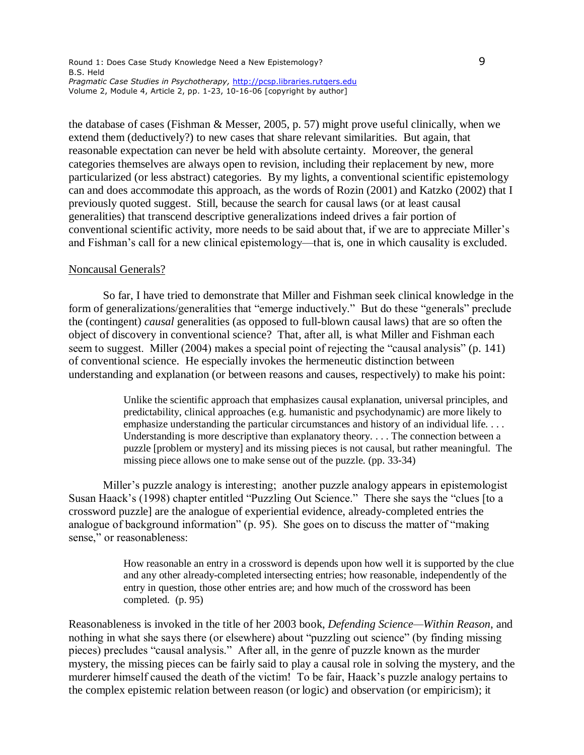the database of cases (Fishman & Messer, 2005, p. 57) might prove useful clinically, when we extend them (deductively?) to new cases that share relevant similarities. But again, that reasonable expectation can never be held with absolute certainty. Moreover, the general categories themselves are always open to revision, including their replacement by new, more particularized (or less abstract) categories. By my lights, a conventional scientific epistemology can and does accommodate this approach, as the words of Rozin (2001) and Katzko (2002) that I previously quoted suggest. Still, because the search for causal laws (or at least causal generalities) that transcend descriptive generalizations indeed drives a fair portion of conventional scientific activity, more needs to be said about that, if we are to appreciate Miller's and Fishman's call for a new clinical epistemology—that is, one in which causality is excluded.

#### Noncausal Generals?

So far, I have tried to demonstrate that Miller and Fishman seek clinical knowledge in the form of generalizations/generalities that "emerge inductively." But do these "generals" preclude the (contingent) *causal* generalities (as opposed to full-blown causal laws) that are so often the object of discovery in conventional science? That, after all, is what Miller and Fishman each seem to suggest. Miller (2004) makes a special point of rejecting the "causal analysis" (p. 141) of conventional science. He especially invokes the hermeneutic distinction between understanding and explanation (or between reasons and causes, respectively) to make his point:

> Unlike the scientific approach that emphasizes causal explanation, universal principles, and predictability, clinical approaches (e.g. humanistic and psychodynamic) are more likely to emphasize understanding the particular circumstances and history of an individual life. . . . Understanding is more descriptive than explanatory theory. . . . The connection between a puzzle [problem or mystery] and its missing pieces is not causal, but rather meaningful. The missing piece allows one to make sense out of the puzzle. (pp. 33-34)

Miller's puzzle analogy is interesting; another puzzle analogy appears in epistemologist Susan Haack's (1998) chapter entitled "Puzzling Out Science." There she says the "clues [to a crossword puzzle] are the analogue of experiential evidence, already-completed entries the analogue of background information" (p. 95). She goes on to discuss the matter of "making sense," or reasonableness:

> How reasonable an entry in a crossword is depends upon how well it is supported by the clue and any other already-completed intersecting entries; how reasonable, independently of the entry in question, those other entries are; and how much of the crossword has been completed. (p. 95)

Reasonableness is invoked in the title of her 2003 book, *Defending Science—Within Reason*, and nothing in what she says there (or elsewhere) about "puzzling out science" (by finding missing pieces) precludes "causal analysis." After all, in the genre of puzzle known as the murder mystery, the missing pieces can be fairly said to play a causal role in solving the mystery, and the murderer himself caused the death of the victim! To be fair, Haack's puzzle analogy pertains to the complex epistemic relation between reason (or logic) and observation (or empiricism); it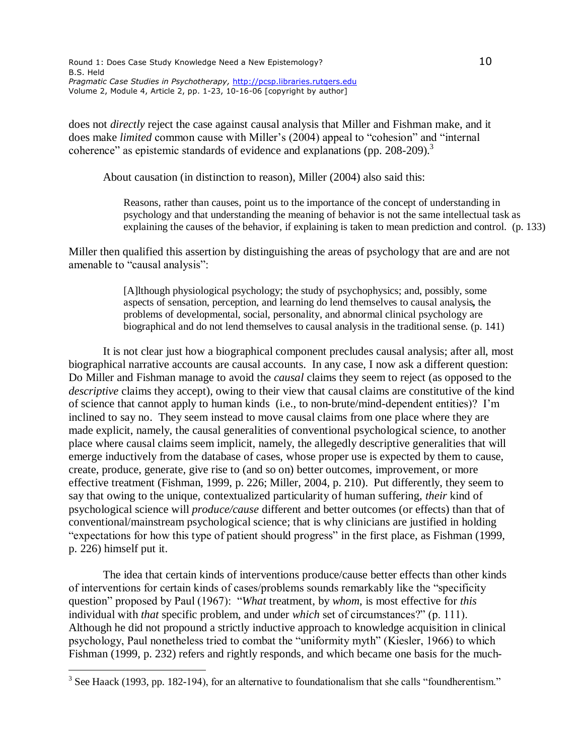does not *directly* reject the case against causal analysis that Miller and Fishman make, and it does make *limited* common cause with Miller's (2004) appeal to "cohesion" and "internal coherence" as epistemic standards of evidence and explanations (pp. 208-209).<sup>3</sup>

About causation (in distinction to reason), Miller (2004) also said this:

Reasons, rather than causes, point us to the importance of the concept of understanding in psychology and that understanding the meaning of behavior is not the same intellectual task as explaining the causes of the behavior, if explaining is taken to mean prediction and control. (p. 133)

Miller then qualified this assertion by distinguishing the areas of psychology that are and are not amenable to "causal analysis":

> [A]lthough physiological psychology; the study of psychophysics; and, possibly, some aspects of sensation, perception, and learning do lend themselves to causal analysis**,** the problems of developmental, social, personality, and abnormal clinical psychology are biographical and do not lend themselves to causal analysis in the traditional sense. (p. 141)

It is not clear just how a biographical component precludes causal analysis; after all, most biographical narrative accounts are causal accounts. In any case, I now ask a different question: Do Miller and Fishman manage to avoid the *causal* claims they seem to reject (as opposed to the *descriptive* claims they accept), owing to their view that causal claims are constitutive of the kind of science that cannot apply to human kinds (i.e., to non-brute/mind-dependent entities)? I'm inclined to say no. They seem instead to move causal claims from one place where they are made explicit, namely, the causal generalities of conventional psychological science, to another place where causal claims seem implicit, namely, the allegedly descriptive generalities that will emerge inductively from the database of cases, whose proper use is expected by them to cause, create, produce, generate, give rise to (and so on) better outcomes, improvement, or more effective treatment (Fishman, 1999, p. 226; Miller, 2004, p. 210). Put differently, they seem to say that owing to the unique, contextualized particularity of human suffering, *their* kind of psychological science will *produce/cause* different and better outcomes (or effects) than that of conventional/mainstream psychological science; that is why clinicians are justified in holding "expectations for how this type of patient should progress" in the first place, as Fishman (1999, p. 226) himself put it.

The idea that certain kinds of interventions produce/cause better effects than other kinds of interventions for certain kinds of cases/problems sounds remarkably like the "specificity question" proposed by Paul (1967): "*What* treatment, by *whom*, is most effective for *this* individual with *that* specific problem, and under *which* set of circumstances?" (p. 111). Although he did not propound a strictly inductive approach to knowledge acquisition in clinical psychology, Paul nonetheless tried to combat the "uniformity myth" (Kiesler, 1966) to which Fishman (1999, p. 232) refers and rightly responds, and which became one basis for the much-

 $3$  See Haack (1993, pp. 182-194), for an alternative to foundationalism that she calls "foundherentism."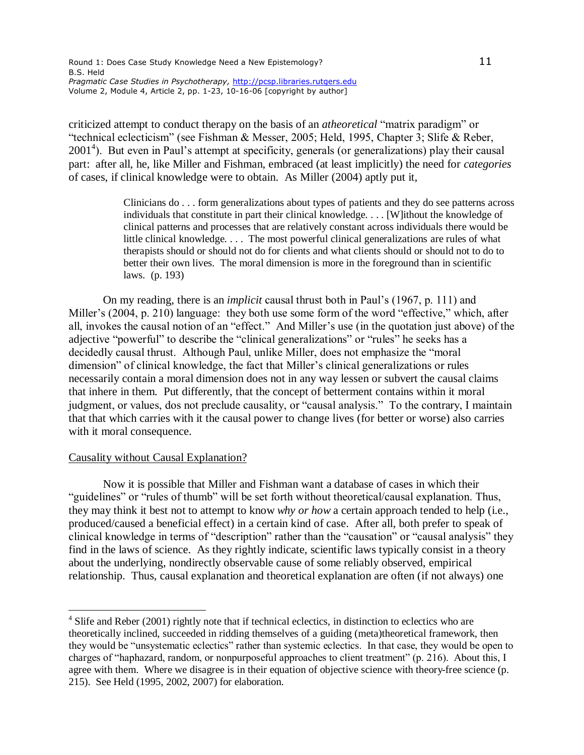criticized attempt to conduct therapy on the basis of an *atheoretical* "matrix paradigm" or "technical eclecticism" (see Fishman & Messer, 2005; Held, 1995, Chapter 3; Slife & Reber, 2001<sup>4</sup>). But even in Paul's attempt at specificity, generals (or generalizations) play their causal part: after all, he, like Miller and Fishman, embraced (at least implicitly) the need for *categories* of cases, if clinical knowledge were to obtain. As Miller (2004) aptly put it,

> Clinicians do . . . form generalizations about types of patients and they do see patterns across individuals that constitute in part their clinical knowledge. . . . [W]ithout the knowledge of clinical patterns and processes that are relatively constant across individuals there would be little clinical knowledge. . . . The most powerful clinical generalizations are rules of what therapists should or should not do for clients and what clients should or should not to do to better their own lives. The moral dimension is more in the foreground than in scientific laws. (p. 193)

On my reading, there is an *implicit* causal thrust both in Paul's (1967, p. 111) and Miller's (2004, p. 210) language: they both use some form of the word "effective," which, after all, invokes the causal notion of an "effect." And Miller's use (in the quotation just above) of the adjective "powerful" to describe the "clinical generalizations" or "rules" he seeks has a decidedly causal thrust. Although Paul, unlike Miller, does not emphasize the "moral dimension" of clinical knowledge, the fact that Miller's clinical generalizations or rules necessarily contain a moral dimension does not in any way lessen or subvert the causal claims that inhere in them. Put differently, that the concept of betterment contains within it moral judgment, or values, dos not preclude causality, or "causal analysis." To the contrary, I maintain that that which carries with it the causal power to change lives (for better or worse) also carries with it moral consequence.

### Causality without Causal Explanation?

 $\overline{a}$ 

Now it is possible that Miller and Fishman want a database of cases in which their "guidelines" or "rules of thumb" will be set forth without theoretical/causal explanation. Thus, they may think it best not to attempt to know *why or how* a certain approach tended to help (i.e., produced/caused a beneficial effect) in a certain kind of case. After all, both prefer to speak of clinical knowledge in terms of "description" rather than the "causation" or "causal analysis" they find in the laws of science. As they rightly indicate, scientific laws typically consist in a theory about the underlying, nondirectly observable cause of some reliably observed, empirical relationship. Thus, causal explanation and theoretical explanation are often (if not always) one

<sup>&</sup>lt;sup>4</sup> Slife and Reber (2001) rightly note that if technical eclectics, in distinction to eclectics who are theoretically inclined, succeeded in ridding themselves of a guiding (meta)theoretical framework, then they would be "unsystematic eclectics" rather than systemic eclectics. In that case, they would be open to charges of "haphazard, random, or nonpurposeful approaches to client treatment" (p. 216). About this, I agree with them. Where we disagree is in their equation of objective science with theory-free science (p. 215). See Held (1995, 2002, 2007) for elaboration.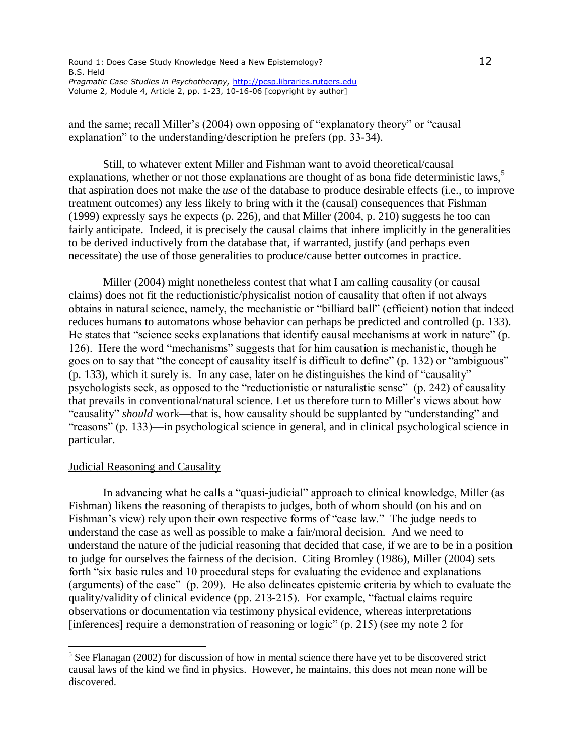and the same; recall Miller's (2004) own opposing of "explanatory theory" or "causal explanation" to the understanding/description he prefers (pp. 33-34).

Still, to whatever extent Miller and Fishman want to avoid theoretical/causal explanations, whether or not those explanations are thought of as bona fide deterministic laws, $5$ that aspiration does not make the *use* of the database to produce desirable effects (i.e., to improve treatment outcomes) any less likely to bring with it the (causal) consequences that Fishman (1999) expressly says he expects (p. 226), and that Miller (2004, p. 210) suggests he too can fairly anticipate. Indeed, it is precisely the causal claims that inhere implicitly in the generalities to be derived inductively from the database that, if warranted, justify (and perhaps even necessitate) the use of those generalities to produce/cause better outcomes in practice.

Miller (2004) might nonetheless contest that what I am calling causality (or causal claims) does not fit the reductionistic/physicalist notion of causality that often if not always obtains in natural science, namely, the mechanistic or "billiard ball" (efficient) notion that indeed reduces humans to automatons whose behavior can perhaps be predicted and controlled (p. 133). He states that "science seeks explanations that identify causal mechanisms at work in nature" (p. 126). Here the word "mechanisms" suggests that for him causation is mechanistic, though he goes on to say that "the concept of causality itself is difficult to define" (p. 132) or "ambiguous" (p. 133), which it surely is. In any case, later on he distinguishes the kind of "causality" psychologists seek, as opposed to the "reductionistic or naturalistic sense" (p. 242) of causality that prevails in conventional/natural science. Let us therefore turn to Miller's views about how "causality" *should* work—that is, how causality should be supplanted by "understanding" and "reasons" (p. 133)—in psychological science in general, and in clinical psychological science in particular.

### Judicial Reasoning and Causality

 $\overline{a}$ 

In advancing what he calls a "quasi-judicial" approach to clinical knowledge, Miller (as Fishman) likens the reasoning of therapists to judges, both of whom should (on his and on Fishman's view) rely upon their own respective forms of "case law." The judge needs to understand the case as well as possible to make a fair/moral decision. And we need to understand the nature of the judicial reasoning that decided that case, if we are to be in a position to judge for ourselves the fairness of the decision. Citing Bromley (1986), Miller (2004) sets forth "six basic rules and 10 procedural steps for evaluating the evidence and explanations (arguments) of the case" (p. 209). He also delineates epistemic criteria by which to evaluate the quality/validity of clinical evidence (pp. 213-215). For example, "factual claims require observations or documentation via testimony physical evidence, whereas interpretations [inferences] require a demonstration of reasoning or logic" (p. 215) (see my note 2 for

 $<sup>5</sup>$  See Flanagan (2002) for discussion of how in mental science there have yet to be discovered strict</sup> causal laws of the kind we find in physics. However, he maintains, this does not mean none will be discovered.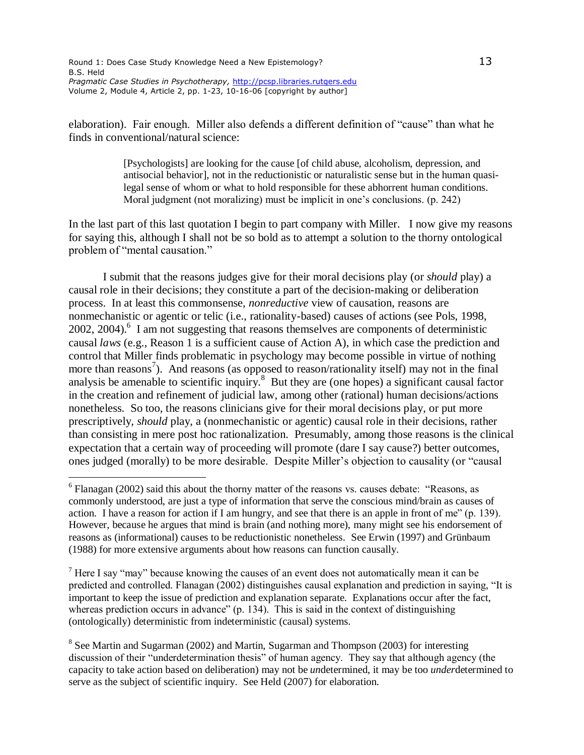$\overline{a}$ 

elaboration). Fair enough. Miller also defends a different definition of "cause" than what he finds in conventional/natural science:

> [Psychologists] are looking for the cause [of child abuse, alcoholism, depression, and antisocial behavior], not in the reductionistic or naturalistic sense but in the human quasilegal sense of whom or what to hold responsible for these abhorrent human conditions. Moral judgment (not moralizing) must be implicit in one's conclusions. (p. 242)

In the last part of this last quotation I begin to part company with Miller. I now give my reasons for saying this, although I shall not be so bold as to attempt a solution to the thorny ontological problem of "mental causation."

I submit that the reasons judges give for their moral decisions play (or *should* play) a causal role in their decisions; they constitute a part of the decision-making or deliberation process. In at least this commonsense, *nonreductive* view of causation, reasons are nonmechanistic or agentic or telic (i.e., rationality-based) causes of actions (see Pols, 1998, 2002, 2004).<sup>6</sup> I am not suggesting that reasons themselves are components of deterministic causal *laws* (e.g., Reason 1 is a sufficient cause of Action A), in which case the prediction and control that Miller finds problematic in psychology may become possible in virtue of nothing more than reasons<sup>7</sup>). And reasons (as opposed to reason/rationality itself) may not in the final analysis be amenable to scientific inquiry.<sup>8</sup> But they are (one hopes) a significant causal factor in the creation and refinement of judicial law, among other (rational) human decisions/actions nonetheless. So too, the reasons clinicians give for their moral decisions play, or put more prescriptively, *should* play, a (nonmechanistic or agentic) causal role in their decisions, rather than consisting in mere post hoc rationalization. Presumably, among those reasons is the clinical expectation that a certain way of proceeding will promote (dare I say cause?) better outcomes, ones judged (morally) to be more desirable. Despite Miller's objection to causality (or "causal

<sup>7</sup> Here I say "may" because knowing the causes of an event does not automatically mean it can be predicted and controlled. Flanagan (2002) distinguishes causal explanation and prediction in saying, "It is important to keep the issue of prediction and explanation separate. Explanations occur after the fact, whereas prediction occurs in advance" (p. 134). This is said in the context of distinguishing (ontologically) deterministic from indeterministic (causal) systems.

<sup>8</sup> See Martin and Sugarman (2002) and Martin, Sugarman and Thompson (2003) for interesting discussion of their "underdetermination thesis" of human agency. They say that although agency (the capacity to take action based on deliberation) may not be *un*determined, it may be too *under*determined to serve as the subject of scientific inquiry. See Held (2007) for elaboration.

 $6$  Flanagan (2002) said this about the thorny matter of the reasons vs. causes debate: "Reasons, as commonly understood, are just a type of information that serve the conscious mind/brain as causes of action. I have a reason for action if I am hungry, and see that there is an apple in front of me" (p. 139). However, because he argues that mind is brain (and nothing more), many might see his endorsement of reasons as (informational) causes to be reductionistic nonetheless. See Erwin (1997) and Grünbaum (1988) for more extensive arguments about how reasons can function causally.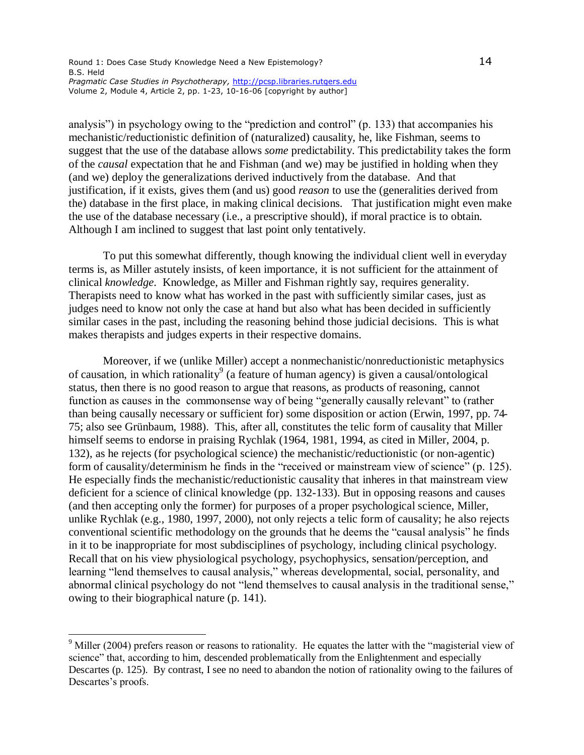analysis") in psychology owing to the "prediction and control" (p. 133) that accompanies his mechanistic/reductionistic definition of (naturalized) causality, he, like Fishman, seems to suggest that the use of the database allows *some* predictability. This predictability takes the form of the *causal* expectation that he and Fishman (and we) may be justified in holding when they (and we) deploy the generalizations derived inductively from the database. And that justification, if it exists, gives them (and us) good *reason* to use the (generalities derived from the) database in the first place, in making clinical decisions. That justification might even make the use of the database necessary (i.e., a prescriptive should), if moral practice is to obtain. Although I am inclined to suggest that last point only tentatively.

To put this somewhat differently, though knowing the individual client well in everyday terms is, as Miller astutely insists, of keen importance, it is not sufficient for the attainment of clinical *knowledge*. Knowledge, as Miller and Fishman rightly say, requires generality. Therapists need to know what has worked in the past with sufficiently similar cases, just as judges need to know not only the case at hand but also what has been decided in sufficiently similar cases in the past, including the reasoning behind those judicial decisions. This is what makes therapists and judges experts in their respective domains.

Moreover, if we (unlike Miller) accept a nonmechanistic/nonreductionistic metaphysics of causation, in which rationality<sup>9</sup> (a feature of human agency) is given a causal/ontological status, then there is no good reason to argue that reasons, as products of reasoning, cannot function as causes in the commonsense way of being "generally causally relevant" to (rather than being causally necessary or sufficient for) some disposition or action (Erwin, 1997, pp. 74- 75; also see Grünbaum, 1988). This, after all, constitutes the telic form of causality that Miller himself seems to endorse in praising Rychlak (1964, 1981, 1994, as cited in Miller, 2004, p. 132), as he rejects (for psychological science) the mechanistic/reductionistic (or non-agentic) form of causality/determinism he finds in the "received or mainstream view of science" (p. 125). He especially finds the mechanistic/reductionistic causality that inheres in that mainstream view deficient for a science of clinical knowledge (pp. 132-133). But in opposing reasons and causes (and then accepting only the former) for purposes of a proper psychological science, Miller, unlike Rychlak (e.g., 1980, 1997, 2000), not only rejects a telic form of causality; he also rejects conventional scientific methodology on the grounds that he deems the "causal analysis" he finds in it to be inappropriate for most subdisciplines of psychology, including clinical psychology. Recall that on his view physiological psychology, psychophysics, sensation/perception, and learning "lend themselves to causal analysis," whereas developmental, social, personality, and abnormal clinical psychology do not "lend themselves to causal analysis in the traditional sense," owing to their biographical nature (p. 141).

 $\overline{a}$ 

<sup>&</sup>lt;sup>9</sup> Miller (2004) prefers reason or reasons to rationality. He equates the latter with the "magisterial view of science" that, according to him, descended problematically from the Enlightenment and especially Descartes (p. 125). By contrast, I see no need to abandon the notion of rationality owing to the failures of Descartes's proofs.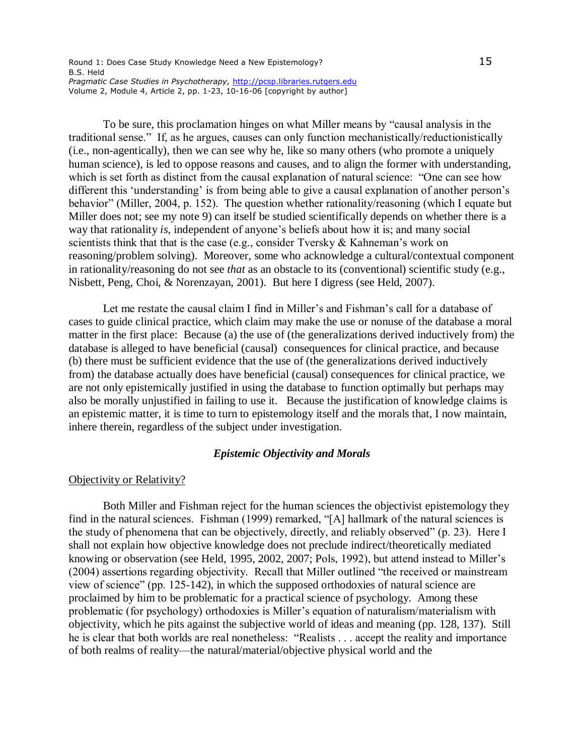To be sure, this proclamation hinges on what Miller means by "causal analysis in the traditional sense." If, as he argues, causes can only function mechanistically/reductionistically (i.e., non-agentically), then we can see why he, like so many others (who promote a uniquely human science), is led to oppose reasons and causes, and to align the former with understanding, which is set forth as distinct from the causal explanation of natural science: "One can see how different this 'understanding' is from being able to give a causal explanation of another person's behavior" (Miller, 2004, p. 152). The question whether rationality/reasoning (which I equate but Miller does not; see my note 9) can itself be studied scientifically depends on whether there is a way that rationality *is*, independent of anyone's beliefs about how it is; and many social scientists think that that is the case (e.g., consider Tversky  $\&$  Kahneman's work on reasoning/problem solving). Moreover, some who acknowledge a cultural/contextual component in rationality/reasoning do not see *that* as an obstacle to its (conventional) scientific study (e.g., Nisbett, Peng, Choi, & Norenzayan, 2001). But here I digress (see Held, 2007).

Let me restate the causal claim I find in Miller's and Fishman's call for a database of cases to guide clinical practice, which claim may make the use or nonuse of the database a moral matter in the first place: Because (a) the use of (the generalizations derived inductively from) the database is alleged to have beneficial (causal) consequences for clinical practice, and because (b) there must be sufficient evidence that the use of (the generalizations derived inductively from) the database actually does have beneficial (causal) consequences for clinical practice, we are not only epistemically justified in using the database to function optimally but perhaps may also be morally unjustified in failing to use it. Because the justification of knowledge claims is an epistemic matter, it is time to turn to epistemology itself and the morals that, I now maintain, inhere therein, regardless of the subject under investigation.

### *Epistemic Objectivity and Morals*

#### Objectivity or Relativity?

Both Miller and Fishman reject for the human sciences the objectivist epistemology they find in the natural sciences. Fishman (1999) remarked, "[A] hallmark of the natural sciences is the study of phenomena that can be objectively, directly, and reliably observed" (p. 23). Here I shall not explain how objective knowledge does not preclude indirect/theoretically mediated knowing or observation (see Held, 1995, 2002, 2007; Pols, 1992), but attend instead to Miller's (2004) assertions regarding objectivity. Recall that Miller outlined "the received or mainstream view of science" (pp. 125-142), in which the supposed orthodoxies of natural science are proclaimed by him to be problematic for a practical science of psychology. Among these problematic (for psychology) orthodoxies is Miller's equation of naturalism/materialism with objectivity, which he pits against the subjective world of ideas and meaning (pp. 128, 137). Still he is clear that both worlds are real nonetheless: "Realists . . . accept the reality and importance of both realms of reality—the natural/material/objective physical world and the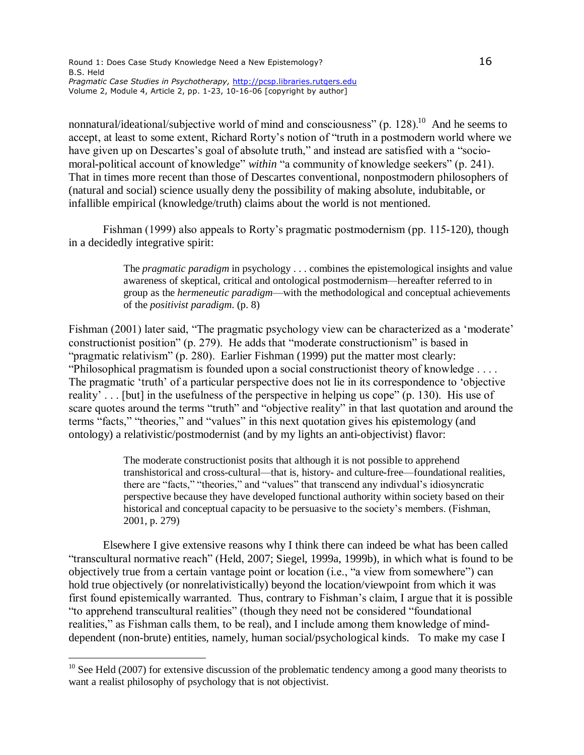nonnatural/ideational/subjective world of mind and consciousness" (p. 128).<sup>10</sup> And he seems to accept, at least to some extent, Richard Rorty's notion of "truth in a postmodern world where we have given up on Descartes's goal of absolute truth," and instead are satisfied with a "sociomoral-political account of knowledge" *within* "a community of knowledge seekers" (p. 241). That in times more recent than those of Descartes conventional, nonpostmodern philosophers of (natural and social) science usually deny the possibility of making absolute, indubitable, or infallible empirical (knowledge/truth) claims about the world is not mentioned.

Fishman (1999) also appeals to Rorty's pragmatic postmodernism (pp. 115-120), though in a decidedly integrative spirit:

> The *pragmatic paradigm* in psychology . . . combines the epistemological insights and value awareness of skeptical, critical and ontological postmodernism—hereafter referred to in group as the *hermeneutic paradigm*—with the methodological and conceptual achievements of the *positivist paradigm*. (p. 8)

Fishman (2001) later said, "The pragmatic psychology view can be characterized as a 'moderate' constructionist position" (p. 279). He adds that "moderate constructionism" is based in "pragmatic relativism" (p. 280). Earlier Fishman (1999) put the matter most clearly: "Philosophical pragmatism is founded upon a social constructionist theory of knowledge . . . . The pragmatic 'truth' of a particular perspective does not lie in its correspondence to 'objective reality' . . . [but] in the usefulness of the perspective in helping us cope" (p. 130). His use of scare quotes around the terms "truth" and "objective reality" in that last quotation and around the terms "facts," "theories," and "values" in this next quotation gives his epistemology (and ontology) a relativistic/postmodernist (and by my lights an anti-objectivist) flavor:

> The moderate constructionist posits that although it is not possible to apprehend transhistorical and cross-cultural—that is, history- and culture-free—foundational realities, there are "facts," "theories," and "values" that transcend any indivdual's idiosyncratic perspective because they have developed functional authority within society based on their historical and conceptual capacity to be persuasive to the society's members. (Fishman, 2001, p. 279)

Elsewhere I give extensive reasons why I think there can indeed be what has been called "transcultural normative reach" (Held, 2007; Siegel, 1999a, 1999b), in which what is found to be objectively true from a certain vantage point or location (i.e., "a view from somewhere") can hold true objectively (or nonrelativistically) beyond the location/viewpoint from which it was first found epistemically warranted. Thus, contrary to Fishman's claim, I argue that it is possible "to apprehend transcultural realities" (though they need not be considered "foundational realities," as Fishman calls them, to be real), and I include among them knowledge of minddependent (non-brute) entities, namely, human social/psychological kinds. To make my case I

 $\overline{a}$ 

 $10$  See Held (2007) for extensive discussion of the problematic tendency among a good many theorists to want a realist philosophy of psychology that is not objectivist.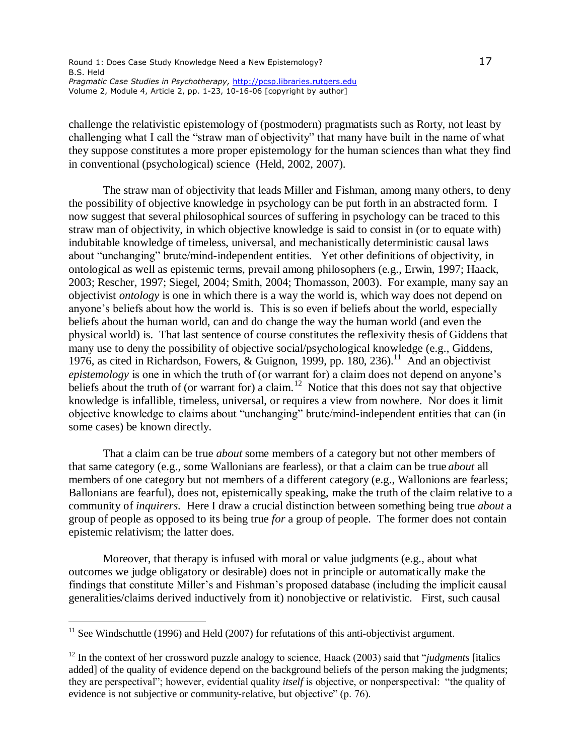challenge the relativistic epistemology of (postmodern) pragmatists such as Rorty, not least by challenging what I call the "straw man of objectivity" that many have built in the name of what they suppose constitutes a more proper epistemology for the human sciences than what they find in conventional (psychological) science (Held, 2002, 2007).

The straw man of objectivity that leads Miller and Fishman, among many others, to deny the possibility of objective knowledge in psychology can be put forth in an abstracted form. I now suggest that several philosophical sources of suffering in psychology can be traced to this straw man of objectivity, in which objective knowledge is said to consist in (or to equate with) indubitable knowledge of timeless, universal, and mechanistically deterministic causal laws about "unchanging" brute/mind-independent entities. Yet other definitions of objectivity, in ontological as well as epistemic terms, prevail among philosophers (e.g., Erwin, 1997; Haack, 2003; Rescher, 1997; Siegel, 2004; Smith, 2004; Thomasson, 2003). For example, many say an objectivist *ontology* is one in which there is a way the world is, which way does not depend on anyone's beliefs about how the world is. This is so even if beliefs about the world, especially beliefs about the human world, can and do change the way the human world (and even the physical world) is. That last sentence of course constitutes the reflexivity thesis of Giddens that many use to deny the possibility of objective social/psychological knowledge (e.g., Giddens, 1976, as cited in Richardson, Fowers,  $\&$  Guignon, 1999, pp. 180, 236).<sup>11</sup> And an objectivist *epistemology* is one in which the truth of (or warrant for) a claim does not depend on anyone's beliefs about the truth of (or warrant for) a claim.<sup>12</sup> Notice that this does not say that objective knowledge is infallible, timeless, universal, or requires a view from nowhere. Nor does it limit objective knowledge to claims about "unchanging" brute/mind-independent entities that can (in some cases) be known directly.

That a claim can be true *about* some members of a category but not other members of that same category (e.g., some Wallonians are fearless), or that a claim can be true *about* all members of one category but not members of a different category (e.g., Wallonions are fearless; Ballonians are fearful), does not, epistemically speaking, make the truth of the claim relative to a community of *inquirers*. Here I draw a crucial distinction between something being true *about* a group of people as opposed to its being true *for* a group of people. The former does not contain epistemic relativism; the latter does.

Moreover, that therapy is infused with moral or value judgments (e.g., about what outcomes we judge obligatory or desirable) does not in principle or automatically make the findings that constitute Miller's and Fishman's proposed database (including the implicit causal generalities/claims derived inductively from it) nonobjective or relativistic. First, such causal

 $11$  See Windschuttle (1996) and Held (2007) for refutations of this anti-objectivist argument.

<sup>&</sup>lt;sup>12</sup> In the context of her crossword puzzle analogy to science, Haack (2003) said that "*judgments* [italics] added] of the quality of evidence depend on the background beliefs of the person making the judgments; they are perspectival"; however, evidential quality *itself* is objective, or nonperspectival: "the quality of evidence is not subjective or community-relative, but objective" (p. 76).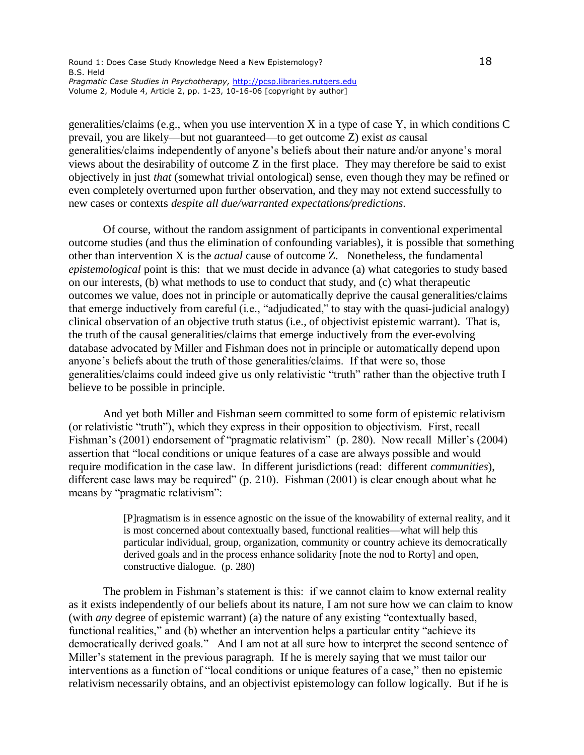#### Round 1: Does Case Study Knowledge Need a New Epistemology? 18 18 B.S. Held *Pragmatic Case Studies in Psychotherapy,* <http://pcsp.libraries.rutgers.edu> Volume 2, Module 4, Article 2, pp. 1-23, 10-16-06 [copyright by author]

generalities/claims (e.g., when you use intervention X in a type of case Y, in which conditions C prevail, you are likely—but not guaranteed—to get outcome Z) exist *as* causal generalities/claims independently of anyone's beliefs about their nature and/or anyone's moral views about the desirability of outcome Z in the first place. They may therefore be said to exist objectively in just *that* (somewhat trivial ontological) sense, even though they may be refined or even completely overturned upon further observation, and they may not extend successfully to new cases or contexts *despite all due/warranted expectations/predictions*.

Of course, without the random assignment of participants in conventional experimental outcome studies (and thus the elimination of confounding variables), it is possible that something other than intervention X is the *actual* cause of outcome Z. Nonetheless, the fundamental *epistemological* point is this: that we must decide in advance (a) what categories to study based on our interests, (b) what methods to use to conduct that study, and (c) what therapeutic outcomes we value, does not in principle or automatically deprive the causal generalities/claims that emerge inductively from careful (i.e., "adjudicated," to stay with the quasi-judicial analogy) clinical observation of an objective truth status (i.e., of objectivist epistemic warrant). That is, the truth of the causal generalities/claims that emerge inductively from the ever-evolving database advocated by Miller and Fishman does not in principle or automatically depend upon anyone's beliefs about the truth of those generalities/claims. If that were so, those generalities/claims could indeed give us only relativistic "truth" rather than the objective truth I believe to be possible in principle.

And yet both Miller and Fishman seem committed to some form of epistemic relativism (or relativistic "truth"), which they express in their opposition to objectivism. First, recall Fishman's (2001) endorsement of "pragmatic relativism" (p. 280). Now recall Miller's (2004) assertion that "local conditions or unique features of a case are always possible and would require modification in the case law. In different jurisdictions (read: different *communities*), different case laws may be required" (p. 210). Fishman (2001) is clear enough about what he means by "pragmatic relativism":

> [P]ragmatism is in essence agnostic on the issue of the knowability of external reality, and it is most concerned about contextually based, functional realities—what will help this particular individual, group, organization, community or country achieve its democratically derived goals and in the process enhance solidarity [note the nod to Rorty] and open, constructive dialogue. (p. 280)

The problem in Fishman's statement is this: if we cannot claim to know external reality as it exists independently of our beliefs about its nature, I am not sure how we can claim to know (with *any* degree of epistemic warrant) (a) the nature of any existing "contextually based, functional realities," and (b) whether an intervention helps a particular entity "achieve its democratically derived goals." And I am not at all sure how to interpret the second sentence of Miller's statement in the previous paragraph. If he is merely saying that we must tailor our interventions as a function of "local conditions or unique features of a case," then no epistemic relativism necessarily obtains, and an objectivist epistemology can follow logically. But if he is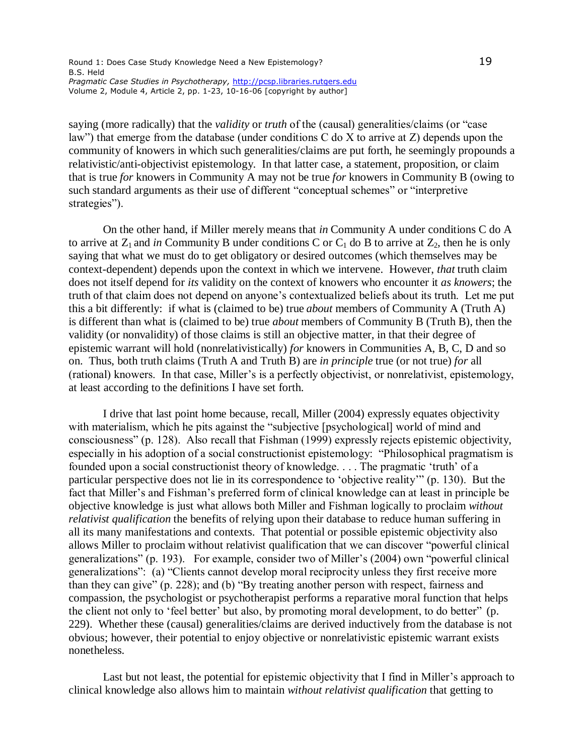#### Round 1: Does Case Study Knowledge Need a New Epistemology? 19 B.S. Held *Pragmatic Case Studies in Psychotherapy,* <http://pcsp.libraries.rutgers.edu> Volume 2, Module 4, Article 2, pp. 1-23, 10-16-06 [copyright by author]

saying (more radically) that the *validity* or *truth* of the (causal) generalities/claims (or "case law") that emerge from the database (under conditions C do X to arrive at Z) depends upon the community of knowers in which such generalities/claims are put forth, he seemingly propounds a relativistic/anti-objectivist epistemology. In that latter case, a statement, proposition, or claim that is true *for* knowers in Community A may not be true *for* knowers in Community B (owing to such standard arguments as their use of different "conceptual schemes" or "interpretive strategies").

On the other hand, if Miller merely means that *in* Community A under conditions C do A to arrive at  $Z_1$  and *in* Community B under conditions C or  $C_1$  do B to arrive at  $Z_2$ , then he is only saying that what we must do to get obligatory or desired outcomes (which themselves may be context-dependent) depends upon the context in which we intervene. However, *that* truth claim does not itself depend for *its* validity on the context of knowers who encounter it *as knowers*; the truth of that claim does not depend on anyone's contextualized beliefs about its truth. Let me put this a bit differently: if what is (claimed to be) true *about* members of Community A (Truth A) is different than what is (claimed to be) true *about* members of Community B (Truth B), then the validity (or nonvalidity) of those claims is still an objective matter, in that their degree of epistemic warrant will hold (nonrelativistically) *for* knowers in Communities A, B, C, D and so on. Thus, both truth claims (Truth A and Truth B) are *in principle* true (or not true) *for* all (rational) knowers. In that case, Miller's is a perfectly objectivist, or nonrelativist, epistemology, at least according to the definitions I have set forth.

I drive that last point home because, recall, Miller (2004) expressly equates objectivity with materialism, which he pits against the "subjective [psychological] world of mind and consciousness" (p. 128). Also recall that Fishman (1999) expressly rejects epistemic objectivity, especially in his adoption of a social constructionist epistemology: "Philosophical pragmatism is founded upon a social constructionist theory of knowledge. . . . The pragmatic 'truth' of a particular perspective does not lie in its correspondence to 'objective reality'" (p. 130). But the fact that Miller's and Fishman's preferred form of clinical knowledge can at least in principle be objective knowledge is just what allows both Miller and Fishman logically to proclaim *without relativist qualification* the benefits of relying upon their database to reduce human suffering in all its many manifestations and contexts. That potential or possible epistemic objectivity also allows Miller to proclaim without relativist qualification that we can discover "powerful clinical generalizations" (p. 193). For example, consider two of Miller's (2004) own "powerful clinical generalizations": (a) "Clients cannot develop moral reciprocity unless they first receive more than they can give" (p. 228); and (b) "By treating another person with respect, fairness and compassion, the psychologist or psychotherapist performs a reparative moral function that helps the client not only to 'feel better' but also, by promoting moral development, to do better" (p. 229). Whether these (causal) generalities/claims are derived inductively from the database is not obvious; however, their potential to enjoy objective or nonrelativistic epistemic warrant exists nonetheless.

Last but not least, the potential for epistemic objectivity that I find in Miller's approach to clinical knowledge also allows him to maintain *without relativist qualification* that getting to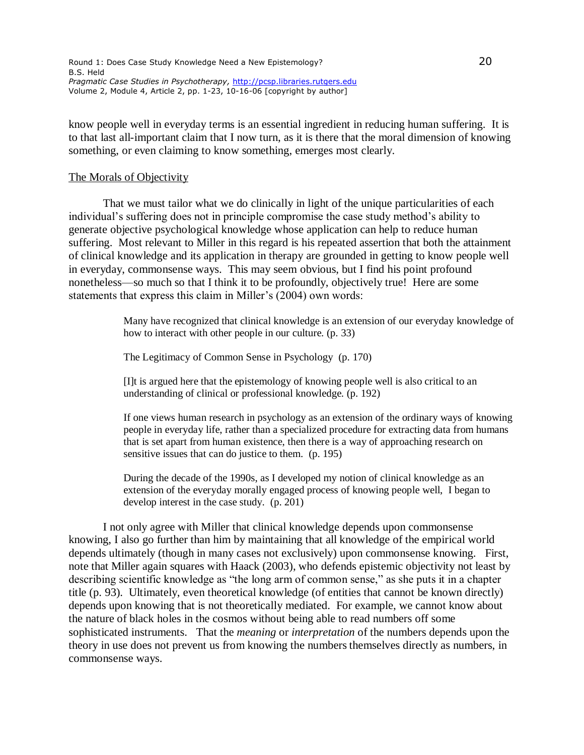know people well in everyday terms is an essential ingredient in reducing human suffering. It is to that last all-important claim that I now turn, as it is there that the moral dimension of knowing something, or even claiming to know something, emerges most clearly.

#### The Morals of Objectivity

That we must tailor what we do clinically in light of the unique particularities of each individual's suffering does not in principle compromise the case study method's ability to generate objective psychological knowledge whose application can help to reduce human suffering. Most relevant to Miller in this regard is his repeated assertion that both the attainment of clinical knowledge and its application in therapy are grounded in getting to know people well in everyday, commonsense ways. This may seem obvious, but I find his point profound nonetheless—so much so that I think it to be profoundly, objectively true! Here are some statements that express this claim in Miller's (2004) own words:

> Many have recognized that clinical knowledge is an extension of our everyday knowledge of how to interact with other people in our culture. (p. 33)

The Legitimacy of Common Sense in Psychology (p. 170)

[I]t is argued here that the epistemology of knowing people well is also critical to an understanding of clinical or professional knowledge. (p. 192)

If one views human research in psychology as an extension of the ordinary ways of knowing people in everyday life, rather than a specialized procedure for extracting data from humans that is set apart from human existence, then there is a way of approaching research on sensitive issues that can do justice to them. (p. 195)

During the decade of the 1990s, as I developed my notion of clinical knowledge as an extension of the everyday morally engaged process of knowing people well, I began to develop interest in the case study. (p. 201)

I not only agree with Miller that clinical knowledge depends upon commonsense knowing, I also go further than him by maintaining that all knowledge of the empirical world depends ultimately (though in many cases not exclusively) upon commonsense knowing. First, note that Miller again squares with Haack (2003), who defends epistemic objectivity not least by describing scientific knowledge as "the long arm of common sense," as she puts it in a chapter title (p. 93). Ultimately, even theoretical knowledge (of entities that cannot be known directly) depends upon knowing that is not theoretically mediated. For example, we cannot know about the nature of black holes in the cosmos without being able to read numbers off some sophisticated instruments. That the *meaning* or *interpretation* of the numbers depends upon the theory in use does not prevent us from knowing the numbers themselves directly as numbers, in commonsense ways.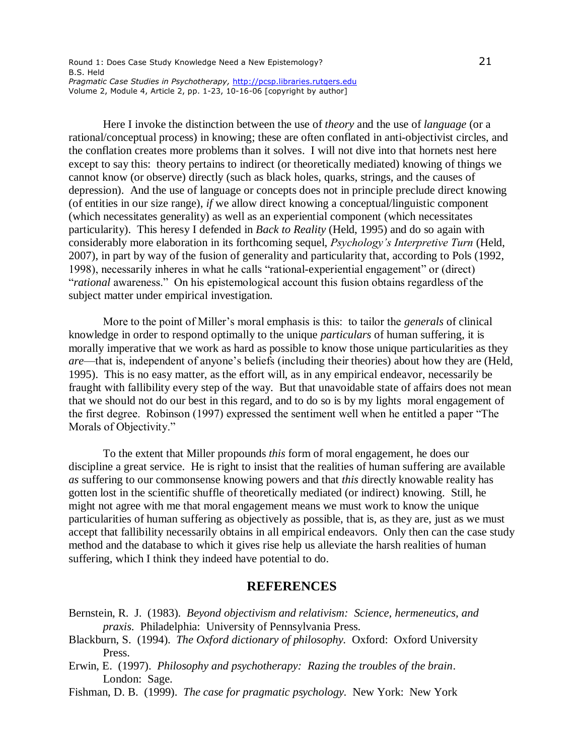Here I invoke the distinction between the use of *theory* and the use of *language* (or a rational/conceptual process) in knowing; these are often conflated in anti-objectivist circles, and the conflation creates more problems than it solves. I will not dive into that hornets nest here except to say this: theory pertains to indirect (or theoretically mediated) knowing of things we cannot know (or observe) directly (such as black holes, quarks, strings, and the causes of depression). And the use of language or concepts does not in principle preclude direct knowing (of entities in our size range), *if* we allow direct knowing a conceptual/linguistic component (which necessitates generality) as well as an experiential component (which necessitates particularity). This heresy I defended in *Back to Reality* (Held, 1995) and do so again with considerably more elaboration in its forthcoming sequel, *Psychology's Interpretive Turn* (Held, 2007), in part by way of the fusion of generality and particularity that, according to Pols (1992, 1998), necessarily inheres in what he calls "rational-experiential engagement" or (direct) "*rational* awareness." On his epistemological account this fusion obtains regardless of the subject matter under empirical investigation.

More to the point of Miller's moral emphasis is this: to tailor the *generals* of clinical knowledge in order to respond optimally to the unique *particulars* of human suffering, it is morally imperative that we work as hard as possible to know those unique particularities as they *are*—that is, independent of anyone's beliefs (including their theories) about how they are (Held, 1995). This is no easy matter, as the effort will, as in any empirical endeavor, necessarily be fraught with fallibility every step of the way. But that unavoidable state of affairs does not mean that we should not do our best in this regard, and to do so is by my lights moral engagement of the first degree. Robinson (1997) expressed the sentiment well when he entitled a paper "The Morals of Objectivity."

To the extent that Miller propounds *this* form of moral engagement, he does our discipline a great service. He is right to insist that the realities of human suffering are available *as* suffering to our commonsense knowing powers and that *this* directly knowable reality has gotten lost in the scientific shuffle of theoretically mediated (or indirect) knowing. Still, he might not agree with me that moral engagement means we must work to know the unique particularities of human suffering as objectively as possible, that is, as they are, just as we must accept that fallibility necessarily obtains in all empirical endeavors. Only then can the case study method and the database to which it gives rise help us alleviate the harsh realities of human suffering, which I think they indeed have potential to do.

## **REFERENCES**

- Bernstein, R. J. (1983). *Beyond objectivism and relativism: Science, hermeneutics, and praxis*. Philadelphia: University of Pennsylvania Press.
- Blackburn, S. (1994). *The Oxford dictionary of philosophy*. Oxford: Oxford University Press.
- Erwin, E. (1997). *Philosophy and psychotherapy: Razing the troubles of the brain*. London: Sage.
- Fishman, D. B. (1999). *The case for pragmatic psychology*. New York: New York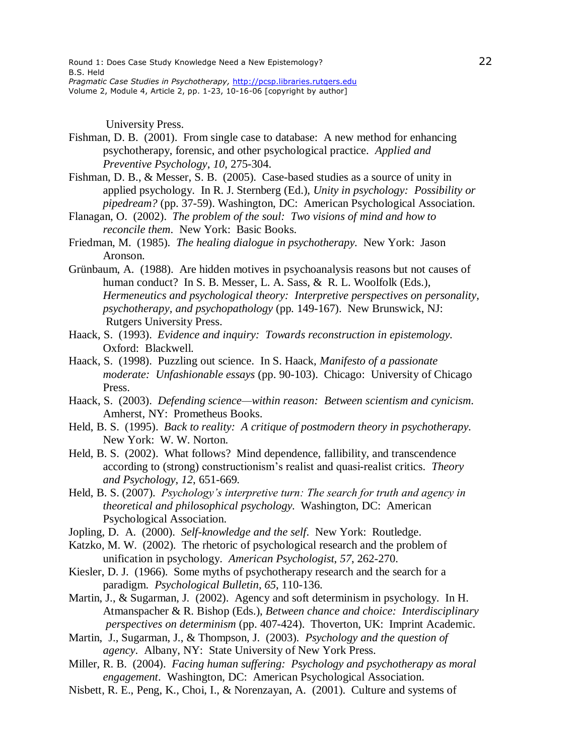University Press.

- Fishman, D. B. (2001). From single case to database: A new method for enhancing psychotherapy, forensic, and other psychological practice. *Applied and Preventive Psychology*, *10*, 275-304.
- Fishman, D. B., & Messer, S. B. (2005). Case-based studies as a source of unity in applied psychology. In R. J. Sternberg (Ed.), *Unity in psychology: Possibility or pipedream?* (pp. 37-59). Washington, DC: American Psychological Association.
- Flanagan, O. (2002). *The problem of the soul: Two visions of mind and how to reconcile them*. New York: Basic Books.
- Friedman, M. (1985). *The healing dialogue in psychotherapy*. New York: Jason Aronson.
- Grünbaum, A. (1988). Are hidden motives in psychoanalysis reasons but not causes of human conduct? In S. B. Messer, L. A. Sass, & R. L. Woolfolk (Eds.), *Hermeneutics and psychological theory: Interpretive perspectives on personality, psychotherapy, and psychopathology* (pp. 149-167). New Brunswick, NJ: Rutgers University Press.
- Haack, S. (1993). *Evidence and inquiry: Towards reconstruction in epistemology*. Oxford: Blackwell.
- Haack, S. (1998). Puzzling out science. In S. Haack, *Manifesto of a passionate moderate: Unfashionable essays* (pp. 90-103). Chicago: University of Chicago Press.
- Haack, S. (2003). *Defending science—within reason: Between scientism and cynicism*. Amherst, NY: Prometheus Books.
- Held, B. S. (1995). *Back to reality: A critique of postmodern theory in psychotherapy*. New York: W. W. Norton.
- Held, B. S. (2002). What follows? Mind dependence, fallibility, and transcendence according to (strong) constructionism's realist and quasi-realist critics. *Theory and Psychology*, *12*, 651-669.
- Held, B. S. (2007). *Psychology's interpretive turn: The search for truth and agency in theoretical and philosophical psychology.* Washington, DC: American Psychological Association.
- Jopling, D. A. (2000). *Self-knowledge and the self*. New York: Routledge.
- Katzko, M. W. (2002). The rhetoric of psychological research and the problem of unification in psychology. *American Psychologist*, *57*, 262-270.
- Kiesler, D. J. (1966). Some myths of psychotherapy research and the search for a paradigm. *Psychological Bulletin*, *65*, 110-136.
- Martin, J., & Sugarman, J. (2002). Agency and soft determinism in psychology. In H. Atmanspacher & R. Bishop (Eds.), *Between chance and choice: Interdisciplinary perspectives on determinism* (pp. 407-424). Thoverton, UK: Imprint Academic.
- Martin, J., Sugarman, J., & Thompson, J. (2003). *Psychology and the question of agency*. Albany, NY: State University of New York Press.
- Miller, R. B. (2004). *Facing human suffering: Psychology and psychotherapy as moral engagement*. Washington, DC: American Psychological Association.
- Nisbett, R. E., Peng, K., Choi, I., & Norenzayan, A. (2001). Culture and systems of